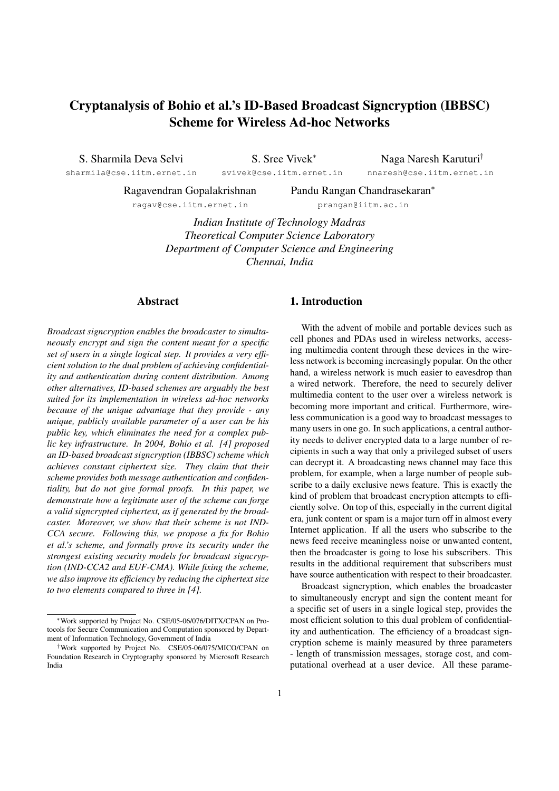# Cryptanalysis of Bohio et al.'s ID-Based Broadcast Signcryption (IBBSC) Scheme for Wireless Ad-hoc Networks

S. Sharmila Deva Selvi

sharmila@cse.iitm.ernet.in

S. Sree Vivek<sup>∗</sup> svivek@cse.iitm.ernet.in

Naga Naresh Karuturi† nnaresh@cse.iitm.ernet.in

Ragavendran Gopalakrishnan ragav@cse.iitm.ernet.in

Pandu Rangan Chandrasekaran<sup>∗</sup> prangan@iitm.ac.in

*Indian Institute of Technology Madras Theoretical Computer Science Laboratory Department of Computer Science and Engineering Chennai, India*

# Abstract

*Broadcast signcryption enables the broadcaster to simultaneously encrypt and sign the content meant for a specific set of users in a single logical step. It provides a very efficient solution to the dual problem of achieving confidentiality and authentication during content distribution. Among other alternatives, ID-based schemes are arguably the best suited for its implementation in wireless ad-hoc networks because of the unique advantage that they provide - any unique, publicly available parameter of a user can be his public key, which eliminates the need for a complex public key infrastructure. In 2004, Bohio et al. [4] proposed an ID-based broadcast signcryption (IBBSC) scheme which achieves constant ciphertext size. They claim that their scheme provides both message authentication and confidentiality, but do not give formal proofs. In this paper, we demonstrate how a legitimate user of the scheme can forge a valid signcrypted ciphertext, as if generated by the broadcaster. Moreover, we show that their scheme is not IND-CCA secure. Following this, we propose a fix for Bohio et al.'s scheme, and formally prove its security under the strongest existing security models for broadcast signcryption (IND-CCA2 and EUF-CMA). While fixing the scheme, we also improve its efficiency by reducing the ciphertext size to two elements compared to three in [4].*

# 1. Introduction

With the advent of mobile and portable devices such as cell phones and PDAs used in wireless networks, accessing multimedia content through these devices in the wireless network is becoming increasingly popular. On the other hand, a wireless network is much easier to eavesdrop than a wired network. Therefore, the need to securely deliver multimedia content to the user over a wireless network is becoming more important and critical. Furthermore, wireless communication is a good way to broadcast messages to many users in one go. In such applications, a central authority needs to deliver encrypted data to a large number of recipients in such a way that only a privileged subset of users can decrypt it. A broadcasting news channel may face this problem, for example, when a large number of people subscribe to a daily exclusive news feature. This is exactly the kind of problem that broadcast encryption attempts to efficiently solve. On top of this, especially in the current digital era, junk content or spam is a major turn off in almost every Internet application. If all the users who subscribe to the news feed receive meaningless noise or unwanted content, then the broadcaster is going to lose his subscribers. This results in the additional requirement that subscribers must have source authentication with respect to their broadcaster.

Broadcast signcryption, which enables the broadcaster to simultaneously encrypt and sign the content meant for a specific set of users in a single logical step, provides the most efficient solution to this dual problem of confidentiality and authentication. The efficiency of a broadcast signcryption scheme is mainly measured by three parameters - length of transmission messages, storage cost, and computational overhead at a user device. All these parame-

<sup>∗</sup>Work supported by Project No. CSE/05-06/076/DITX/CPAN on Protocols for Secure Communication and Computation sponsored by Department of Information Technology, Government of India

<sup>†</sup>Work supported by Project No. CSE/05-06/075/MICO/CPAN on Foundation Research in Cryptography sponsored by Microsoft Research India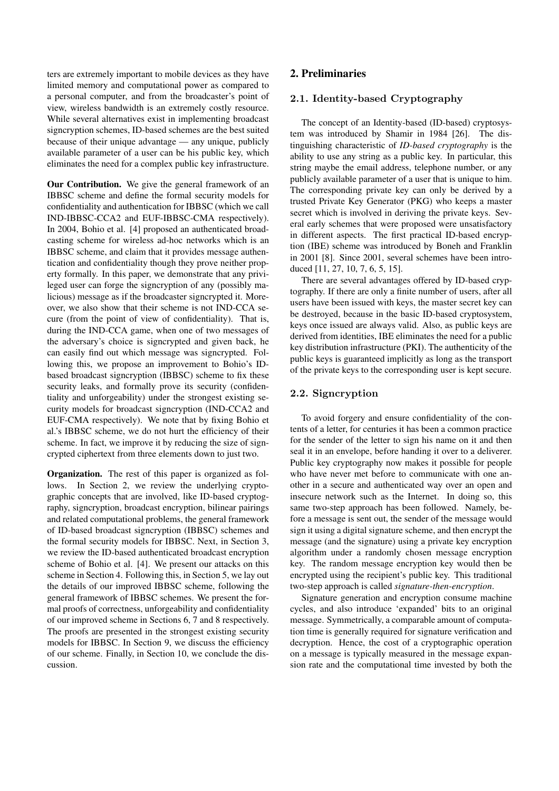ters are extremely important to mobile devices as they have limited memory and computational power as compared to a personal computer, and from the broadcaster's point of view, wireless bandwidth is an extremely costly resource. While several alternatives exist in implementing broadcast signcryption schemes, ID-based schemes are the best suited because of their unique advantage — any unique, publicly available parameter of a user can be his public key, which eliminates the need for a complex public key infrastructure.

Our Contribution. We give the general framework of an IBBSC scheme and define the formal security models for confidentiality and authentication for IBBSC (which we call IND-IBBSC-CCA2 and EUF-IBBSC-CMA respectively). In 2004, Bohio et al. [4] proposed an authenticated broadcasting scheme for wireless ad-hoc networks which is an IBBSC scheme, and claim that it provides message authentication and confidentiality though they prove neither property formally. In this paper, we demonstrate that any privileged user can forge the signcryption of any (possibly malicious) message as if the broadcaster signcrypted it. Moreover, we also show that their scheme is not IND-CCA secure (from the point of view of confidentiality). That is, during the IND-CCA game, when one of two messages of the adversary's choice is signcrypted and given back, he can easily find out which message was signcrypted. Following this, we propose an improvement to Bohio's IDbased broadcast signcryption (IBBSC) scheme to fix these security leaks, and formally prove its security (confidentiality and unforgeability) under the strongest existing security models for broadcast signcryption (IND-CCA2 and EUF-CMA respectively). We note that by fixing Bohio et al.'s IBBSC scheme, we do not hurt the efficiency of their scheme. In fact, we improve it by reducing the size of signcrypted ciphertext from three elements down to just two.

Organization. The rest of this paper is organized as follows. In Section 2, we review the underlying cryptographic concepts that are involved, like ID-based cryptography, signcryption, broadcast encryption, bilinear pairings and related computational problems, the general framework of ID-based broadcast signcryption (IBBSC) schemes and the formal security models for IBBSC. Next, in Section 3, we review the ID-based authenticated broadcast encryption scheme of Bohio et al. [4]. We present our attacks on this scheme in Section 4. Following this, in Section 5, we lay out the details of our improved IBBSC scheme, following the general framework of IBBSC schemes. We present the formal proofs of correctness, unforgeability and confidentiality of our improved scheme in Sections 6, 7 and 8 respectively. The proofs are presented in the strongest existing security models for IBBSC. In Section 9, we discuss the efficiency of our scheme. Finally, in Section 10, we conclude the discussion.

# 2. Preliminaries

#### 2.1. Identity-based Cryptography

The concept of an Identity-based (ID-based) cryptosystem was introduced by Shamir in 1984 [26]. The distinguishing characteristic of *ID-based cryptography* is the ability to use any string as a public key. In particular, this string maybe the email address, telephone number, or any publicly available parameter of a user that is unique to him. The corresponding private key can only be derived by a trusted Private Key Generator (PKG) who keeps a master secret which is involved in deriving the private keys. Several early schemes that were proposed were unsatisfactory in different aspects. The first practical ID-based encryption (IBE) scheme was introduced by Boneh and Franklin in 2001 [8]. Since 2001, several schemes have been introduced [11, 27, 10, 7, 6, 5, 15].

There are several advantages offered by ID-based cryptography. If there are only a finite number of users, after all users have been issued with keys, the master secret key can be destroyed, because in the basic ID-based cryptosystem, keys once issued are always valid. Also, as public keys are derived from identities, IBE eliminates the need for a public key distribution infrastructure (PKI). The authenticity of the public keys is guaranteed implicitly as long as the transport of the private keys to the corresponding user is kept secure.

### 2.2. Signcryption

To avoid forgery and ensure confidentiality of the contents of a letter, for centuries it has been a common practice for the sender of the letter to sign his name on it and then seal it in an envelope, before handing it over to a deliverer. Public key cryptography now makes it possible for people who have never met before to communicate with one another in a secure and authenticated way over an open and insecure network such as the Internet. In doing so, this same two-step approach has been followed. Namely, before a message is sent out, the sender of the message would sign it using a digital signature scheme, and then encrypt the message (and the signature) using a private key encryption algorithm under a randomly chosen message encryption key. The random message encryption key would then be encrypted using the recipient's public key. This traditional two-step approach is called *signature-then-encryption*.

Signature generation and encryption consume machine cycles, and also introduce 'expanded' bits to an original message. Symmetrically, a comparable amount of computation time is generally required for signature verification and decryption. Hence, the cost of a cryptographic operation on a message is typically measured in the message expansion rate and the computational time invested by both the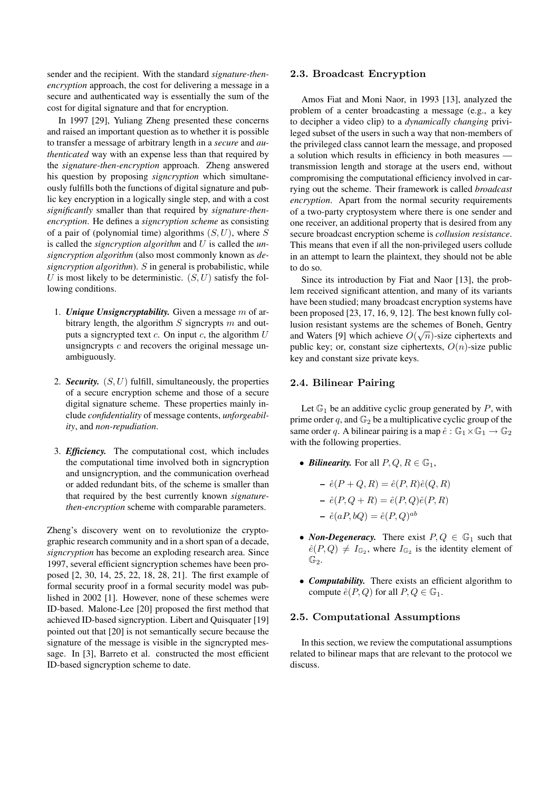sender and the recipient. With the standard *signature-thenencryption* approach, the cost for delivering a message in a secure and authenticated way is essentially the sum of the cost for digital signature and that for encryption.

In 1997 [29], Yuliang Zheng presented these concerns and raised an important question as to whether it is possible to transfer a message of arbitrary length in a *secure* and *authenticated* way with an expense less than that required by the *signature-then-encryption* approach. Zheng answered his question by proposing *signcryption* which simultaneously fulfills both the functions of digital signature and public key encryption in a logically single step, and with a cost *significantly* smaller than that required by *signature-thenencryption*. He defines a *signcryption scheme* as consisting of a pair of (polynomial time) algorithms  $(S, U)$ , where S is called the *signcryption algorithm* and U is called the *unsigncryption algorithm* (also most commonly known as *designcryption algorithm*). S in general is probabilistic, while U is most likely to be deterministic.  $(S, U)$  satisfy the following conditions.

- 1. *Unique Unsigncryptability.* Given a message m of arbitrary length, the algorithm  $S$  signcrypts  $m$  and outputs a signcrypted text  $c$ . On input  $c$ , the algorithm  $U$ unsigncrypts  $c$  and recovers the original message unambiguously.
- 2. **Security.**  $(S, U)$  fulfill, simultaneously, the properties of a secure encryption scheme and those of a secure digital signature scheme. These properties mainly include *confidentiality* of message contents, *unforgeability*, and *non-repudiation*.
- 3. *Efficiency.* The computational cost, which includes the computational time involved both in signcryption and unsigncryption, and the communication overhead or added redundant bits, of the scheme is smaller than that required by the best currently known *signaturethen-encryption* scheme with comparable parameters.

Zheng's discovery went on to revolutionize the cryptographic research community and in a short span of a decade, *signcryption* has become an exploding research area. Since 1997, several efficient signcryption schemes have been proposed [2, 30, 14, 25, 22, 18, 28, 21]. The first example of formal security proof in a formal security model was published in 2002 [1]. However, none of these schemes were ID-based. Malone-Lee [20] proposed the first method that achieved ID-based signcryption. Libert and Quisquater [19] pointed out that [20] is not semantically secure because the signature of the message is visible in the signcrypted message. In [3], Barreto et al. constructed the most efficient ID-based signcryption scheme to date.

#### 2.3. Broadcast Encryption

Amos Fiat and Moni Naor, in 1993 [13], analyzed the problem of a center broadcasting a message (e.g., a key to decipher a video clip) to a *dynamically changing* privileged subset of the users in such a way that non-members of the privileged class cannot learn the message, and proposed a solution which results in efficiency in both measures transmission length and storage at the users end, without compromising the computational efficiency involved in carrying out the scheme. Their framework is called *broadcast encryption*. Apart from the normal security requirements of a two-party cryptosystem where there is one sender and one receiver, an additional property that is desired from any secure broadcast encryption scheme is *collusion resistance*. This means that even if all the non-privileged users collude in an attempt to learn the plaintext, they should not be able to do so.

Since its introduction by Fiat and Naor [13], the problem received significant attention, and many of its variants have been studied; many broadcast encryption systems have been proposed [23, 17, 16, 9, 12]. The best known fully collusion resistant systems are the schemes of Boneh, Gentry √ and Waters [9] which achieve  $O(\sqrt{n})$ -size ciphertexts and public key; or, constant size ciphertexts,  $O(n)$ -size public key and constant size private keys.

#### 2.4. Bilinear Pairing

Let  $\mathbb{G}_1$  be an additive cyclic group generated by P, with prime order  $q$ , and  $\mathbb{G}_2$  be a multiplicative cyclic group of the same order q. A bilinear pairing is a map  $\hat{e} : \mathbb{G}_1 \times \mathbb{G}_1 \to \mathbb{G}_2$ with the following properties.

• *Bilinearity.* For all  $P, Q, R \in \mathbb{G}_1$ ,

$$
- \hat{e}(P + Q, R) = \hat{e}(P, R)\hat{e}(Q, R)
$$

$$
- \hat{e}(P, Q + R) = \hat{e}(P, Q)\hat{e}(P, R)
$$

$$
- \hat{e}(aP, bQ) = \hat{e}(P, Q)^{ab}
$$

- *Non-Degeneracy.* There exist  $P, Q \in \mathbb{G}_1$  such that  $\hat{e}(P,Q) \neq I_{\mathbb{G}_2}$ , where  $I_{\mathbb{G}_2}$  is the identity element of  $\mathbb{G}_2$ .
- *Computability.* There exists an efficient algorithm to compute  $\hat{e}(P,Q)$  for all  $P,Q \in \mathbb{G}_1$ .

# 2.5. Computational Assumptions

In this section, we review the computational assumptions related to bilinear maps that are relevant to the protocol we discuss.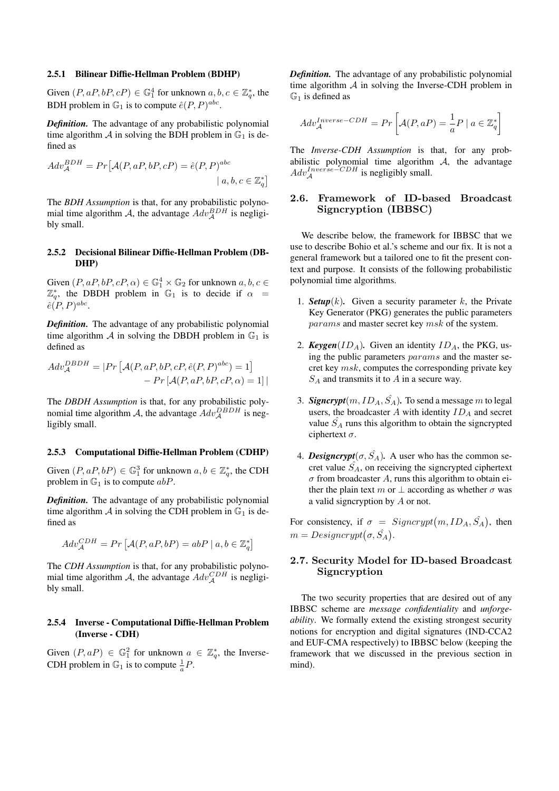#### 2.5.1 Bilinear Diffie-Hellman Problem (BDHP)

Given  $(P, aP, bP, cP) \in \mathbb{G}_1^4$  for unknown  $a, b, c \in \mathbb{Z}_q^*$ , the BDH problem in  $\mathbb{G}_1$  is to compute  $\hat{e}(P, P)^{abc}$ .

*Definition.* The advantage of any probabilistic polynomial time algorithm  $A$  in solving the BDH problem in  $\mathbb{G}_1$  is defined as

$$
Adv_{\mathcal{A}}^{BDH} = Pr[\mathcal{A}(P, aP, bP, cP) = \hat{e}(P, P)^{abc} | a, b, c \in \mathbb{Z}_q^*]
$$

The *BDH Assumption* is that, for any probabilistic polynomial time algorithm A, the advantage  $Adv_{\mathcal{A}}^{BDH}$  is negligibly small.

### 2.5.2 Decisional Bilinear Diffie-Hellman Problem (DB-DHP)

Given  $(P, aP, bP, cP, \alpha) \in \mathbb{G}_1^4 \times \mathbb{G}_2$  for unknown  $a, b, c \in$  $\mathbb{Z}_q^*$ , the DBDH problem in  $\mathbb{G}_1$  is to decide if  $\alpha =$  $\hat{e}(P,P)^{abc}$ .

*Definition.* The advantage of any probabilistic polynomial time algorithm  $A$  in solving the DBDH problem in  $\mathbb{G}_1$  is defined as

$$
Adv_{\mathcal{A}}^{DBDH} = |Pr\left[\mathcal{A}(P, aP, bP, cP, \hat{e}(P, P)^{abc}) = 1\right] - Pr\left[\mathcal{A}(P, aP, bP, cP, \alpha) = 1\right]|
$$

The *DBDH Assumption* is that, for any probabilistic polynomial time algorithm A, the advantage  $Adv_{\mathcal{A}}^{DBDH}$  is negligibly small.

#### 2.5.3 Computational Diffie-Hellman Problem (CDHP)

Given  $(P, aP, bP) \in \mathbb{G}_1^3$  for unknown  $a, b \in \mathbb{Z}_q^*$ , the CDH problem in  $\mathbb{G}_1$  is to compute  $abP$ .

*Definition.* The advantage of any probabilistic polynomial time algorithm A in solving the CDH problem in  $\mathbb{G}_1$  is defined as

$$
Adv_{\mathcal{A}}^{CDH} = Pr\left[\mathcal{A}(P, aP, bP) = abP \mid a, b \in \mathbb{Z}_q^*\right]
$$

The *CDH Assumption* is that, for any probabilistic polynomial time algorithm A, the advantage  $Adv_{\mathcal{A}}^{CDH}$  is negligibly small.

### 2.5.4 Inverse - Computational Diffie-Hellman Problem (Inverse - CDH)

Given  $(P, aP) \in \mathbb{G}_1^2$  for unknown  $a \in \mathbb{Z}_q^*$ , the Inverse-CDH problem in  $\mathbb{G}_1$  is to compute  $\frac{1}{a}P$ .

*Definition.* The advantage of any probabilistic polynomial time algorithm  $A$  in solving the Inverse-CDH problem in  $\mathbb{G}_1$  is defined as

$$
Adv_{\mathcal{A}}^{Inverse-CDH} = Pr\left[\mathcal{A}(P, aP) = \frac{1}{a}P \mid a \in \mathbb{Z}_q^*\right]
$$

The *Inverse-CDH Assumption* is that, for any probabilistic polynomial time algorithm  $A$ , the advantage  $Adv_{\mathcal{A}}^{Inverse-CDH}$  is negligibly small.

# 2.6. Framework of ID-based Broadcast Signcryption (IBBSC)

We describe below, the framework for IBBSC that we use to describe Bohio et al.'s scheme and our fix. It is not a general framework but a tailored one to fit the present context and purpose. It consists of the following probabilistic polynomial time algorithms.

- 1. **Setup**(k). Given a security parameter k, the Private Key Generator (PKG) generates the public parameters params and master secret key msk of the system.
- 2. **Keygen**(ID<sub>A</sub>). Given an identity  $ID_A$ , the PKG, using the public parameters params and the master secret key msk, computes the corresponding private key  $S_A$  and transmits it to  $A$  in a secure way.
- 3. **Signcrypt** $(m, ID_A, \hat{S_A})$ . To send a message m to legal users, the broadcaster  $A$  with identity  $ID_A$  and secret value  $\hat{S_A}$  runs this algorithm to obtain the signcrypted ciphertext  $\sigma$ .
- 4. **Designcrypt** $(\sigma, \hat{S_A})$ . A user who has the common secret value  $S_A$ , on receiving the signcrypted ciphertext  $\sigma$  from broadcaster A, runs this algorithm to obtain either the plain text m or  $\perp$  according as whether  $\sigma$  was a valid signcryption by A or not.

For consistency, if  $\sigma = Signcrypt(m, ID_A, \hat{S_A})$  $Signcrypt(m, ID_A, S_A)$ , then  $m = Designcrypt(\sigma, \hat{S_A}).$ 

### 2.7. Security Model for ID-based Broadcast Signcryption

The two security properties that are desired out of any IBBSC scheme are *message confidentiality* and *unforgeability*. We formally extend the existing strongest security notions for encryption and digital signatures (IND-CCA2 and EUF-CMA respectively) to IBBSC below (keeping the framework that we discussed in the previous section in mind).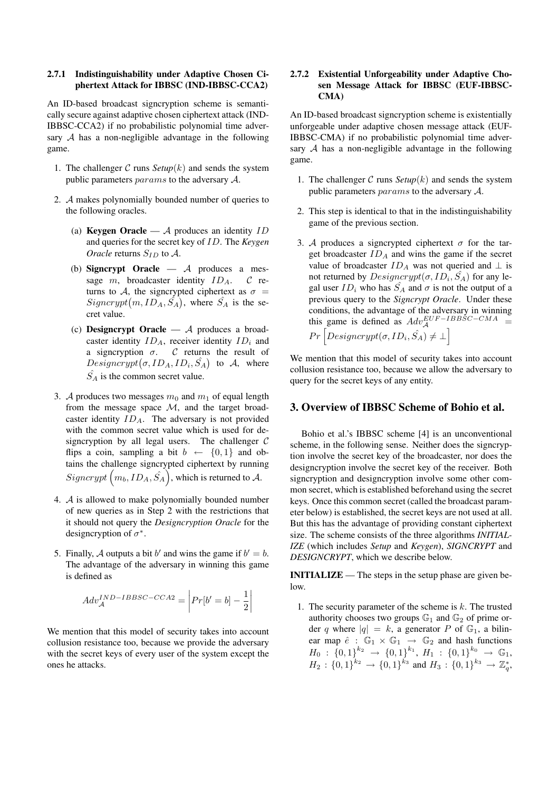#### 2.7.1 Indistinguishability under Adaptive Chosen Ciphertext Attack for IBBSC (IND-IBBSC-CCA2)

An ID-based broadcast signcryption scheme is semantically secure against adaptive chosen ciphertext attack (IND-IBBSC-CCA2) if no probabilistic polynomial time adversary  $A$  has a non-negligible advantage in the following game.

- 1. The challenger C runs  $Setup(k)$  and sends the system public parameters params to the adversary A.
- 2. A makes polynomially bounded number of queries to the following oracles.
	- (a) Keygen Oracle  $A$  produces an identity  $ID$ and queries for the secret key of ID. The *Keygen Oracle* returns  $S_{ID}$  to  $A$ .
	- (b) Signcrypt Oracle  $-$  A produces a message  $m$ , broadcaster identity  $ID_A$ .  $C$  returns to A, the signcrypted ciphertext as  $\sigma =$ turns to A, the signcrypted cipheriext as  $\sigma =$ <br>Signcrypt $(m, ID_A, \hat{S}_A)$ , where  $\hat{S}_A$  is the secret value.
	- (c) Designcrypt Oracle  $A$  produces a broadcaster identity  $ID_A$ , receiver identity  $ID_i$  and a signcryption  $\sigma$ . C returns the result of a signcryption  $\sigma$ . C returns the result of<br>Designcrypt ( $\sigma$ , ID<sub>A</sub>, ID<sub>i</sub>,  $\hat{S_A}$ ) to A, where  $\hat{S_A}$  is the common secret value.
- 3. A produces two messages  $m_0$  and  $m_1$  of equal length from the message space  $M$ , and the target broadcaster identity  $ID_A$ . The adversary is not provided with the common secret value which is used for designcryption by all legal users. The challenger  $C$ flips a coin, sampling a bit  $b \leftarrow \{0, 1\}$  and obtains the challenge signcrypted ciphertext by running ´ tains the challenge signcrypted ciphertext by running<br>  $Signcrypt \left( m_b, ID_A, \hat{S_A} \right)$ , which is returned to A.
- 4. A is allowed to make polynomially bounded number of new queries as in Step 2 with the restrictions that it should not query the *Designcryption Oracle* for the designcryption of  $\sigma^*$ .
- 5. Finally, A outputs a bit b' and wins the game if  $b' = b$ . The advantage of the adversary in winning this game is defined as

$$
Adv_{\mathcal{A}}^{IND-IBBSC-CCA2} = \left| Pr[b'=b] - \frac{1}{2} \right|
$$

We mention that this model of security takes into account collusion resistance too, because we provide the adversary with the secret keys of every user of the system except the ones he attacks.

### 2.7.2 Existential Unforgeability under Adaptive Chosen Message Attack for IBBSC (EUF-IBBSC-CMA)

An ID-based broadcast signcryption scheme is existentially unforgeable under adaptive chosen message attack (EUF-IBBSC-CMA) if no probabilistic polynomial time adversary  $A$  has a non-negligible advantage in the following game.

- 1. The challenger C runs  $Setup(k)$  and sends the system public parameters params to the adversary A.
- 2. This step is identical to that in the indistinguishability game of the previous section.
- 3. A produces a signcrypted ciphertext  $\sigma$  for the target broadcaster  $ID_A$  and wins the game if the secret value of broadcaster  $ID_A$  was not queried and  $\perp$  is not returned by  $Designcrypt(\sigma, ID_i, \hat{S_A})$  for any legal user  $ID_i$  who has  $S_A$  and  $\sigma$  is not the output of a previous query to the *Signcrypt Oracle*. Under these conditions, the advantage of the adversary in winning this game is defined as  $Adv_{\mathcal{A}}^{EUF - IBBSC - CMA}$  = this game is defined as  $Aav_A$ <br> $Pr \left[Designcrypt(\sigma, ID_i, \hat{S}_A) \neq \bot \right]$

We mention that this model of security takes into account collusion resistance too, because we allow the adversary to query for the secret keys of any entity.

# 3. Overview of IBBSC Scheme of Bohio et al.

Bohio et al.'s IBBSC scheme [4] is an unconventional scheme, in the following sense. Neither does the signcryption involve the secret key of the broadcaster, nor does the designcryption involve the secret key of the receiver. Both signcryption and designcryption involve some other common secret, which is established beforehand using the secret keys. Once this common secret (called the broadcast parameter below) is established, the secret keys are not used at all. But this has the advantage of providing constant ciphertext size. The scheme consists of the three algorithms *INITIAL-IZE* (which includes *Setup* and *Keygen*), *SIGNCRYPT* and *DESIGNCRYPT*, which we describe below.

INITIALIZE — The steps in the setup phase are given below.

1. The security parameter of the scheme is  $k$ . The trusted authority chooses two groups  $\mathbb{G}_1$  and  $\mathbb{G}_2$  of prime order q where  $|q| = k$ , a generator P of  $\mathbb{G}_1$ , a bilinear map  $\hat{e}$  :  $\mathbb{G}_1 \times \mathbb{G}_1 \rightarrow \mathbb{G}_2$  and hash functions  $H_0: \, \{0,1\}^{k_2} \, \rightarrow \, \{0,1\}^{k_1}, \, H_1: \, \{0,1\}^{k_0} \, \rightarrow \, \mathbb{G}_1,$  $H_2: \{0,1\}^{k_2} \rightarrow \{0,1\}^{k_3}$  and  $H_3: \{0,1\}^{k_3} \rightarrow \mathbb{Z}_q^*$ ,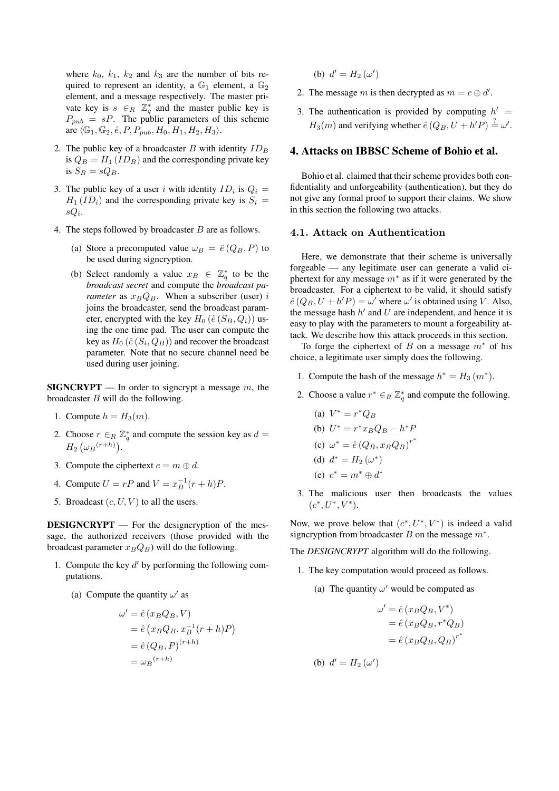where  $k_0$ ,  $k_1$ ,  $k_2$  and  $k_3$  are the number of bits required to represent an identity, a  $\mathbb{G}_1$  element, a  $\mathbb{G}_2$ element, and a message respectively. The master private key is  $s \in_R \mathbb{Z}_q^*$  and the master public key is  $P_{pub} = sP$ . The public parameters of this scheme are  $\langle \mathbb{G}_1, \mathbb{G}_2, \hat{e}, P, P_{pub}, H_0, H_1, H_2, H_3 \rangle.$ 

- 2. The public key of a broadcaster  $B$  with identity  $ID_B$ is  $Q_B = H_1 (ID_B)$  and the corresponding private key is  $S_B = sQ_B$ .
- 3. The public key of a user i with identity  $ID_i$  is  $Q_i =$  $H_1 (ID_i)$  and the corresponding private key is  $S_i =$  $sQ_i$ .
- 4. The steps followed by broadcaster  $B$  are as follows.
	- (a) Store a precomputed value  $\omega_B = \hat{e}(Q_B, P)$  to be used during signcryption.
	- (b) Select randomly a value  $x_B \in \mathbb{Z}_q^*$  to be the *broadcast secret* and compute the *broadcast parameter* as  $x_BQ_B$ . When a subscriber (user) i joins the broadcaster, send the broadcast parameter, encrypted with the key  $H_0$  ( $\hat{e}(S_B, Q_i)$ ) using the one time pad. The user can compute the key as  $H_0\left(\hat{e}\left(S_i,Q_B\right)\right)$  and recover the broadcast parameter. Note that no secure channel need be used during user joining.

**SIGNCRYPT** — In order to signcrypt a message  $m$ , the broadcaster  $B$  will do the following.

- 1. Compute  $h = H_3(m)$ .
- 2. Choose  $r \in_R \mathbb{Z}_q^*$  and compute the session key as  $d =$  $H_2\left(\omega_B^{(r+h)}\right)$ .
- 3. Compute the ciphertext  $c = m \oplus d$ .
- 4. Compute  $U = rP$  and  $V = x_B^{-1}(r+h)P$ .
- 5. Broadcast  $(c, U, V)$  to all the users.

DESIGNCRYPT — For the designcryption of the message, the authorized receivers (those provided with the broadcast parameter  $x_BQ_B$ ) will do the following.

- 1. Compute the key  $d'$  by performing the following computations.
	- (a) Compute the quantity  $\omega'$  as

$$
\omega' = \hat{e}(x_B Q_B, V)
$$
  
=  $\hat{e}(x_B Q_B, x_B^{-1}(r+h)P)$   
=  $\hat{e}(Q_B, P)^{(r+h)}$   
=  $\omega_B$ <sup>(r+h)</sup>

(b)  $d' = H_2(\omega')$ 

- 2. The message m is then decrypted as  $m = c \oplus d'$ .
- 3. The authentication is provided by computing  $h' =$  $H_3(m)$  and verifying whether  $\hat{e} (Q_B, U + h'P) \stackrel{?}{=} \omega'.$

# 4. Attacks on IBBSC Scheme of Bohio et al.

Bohio et al. claimed that their scheme provides both confidentiality and unforgeability (authentication), but they do not give any formal proof to support their claims. We show in this section the following two attacks.

#### 4.1. Attack on Authentication

Here, we demonstrate that their scheme is universally forgeable — any legitimate user can generate a valid ciphertext for any message  $m^*$  as if it were generated by the broadcaster. For a ciphertext to be valid, it should satisfy  $\hat{e}(Q_B, U + h'R) = \omega'$  where  $\omega'$  is obtained using V. Also, the message hash  $h'$  and  $U$  are independent, and hence it is easy to play with the parameters to mount a forgeability attack. We describe how this attack proceeds in this section.

To forge the ciphertext of B on a message  $m^*$  of his choice, a legitimate user simply does the following.

- 1. Compute the hash of the message  $h^* = H_3(m^*)$ .
- 2. Choose a value  $r^* \in_R \mathbb{Z}_q^*$  and compute the following.
	- (a)  $V^* = r^* Q_B$ (b)  $U^* = r^*x_BQ_B - h^*P$
	- (c)  $\omega^* = \hat{e} (Q_B, x_B Q_B)^{r^*}$
	- (d)  $d^* = H_2(\omega^*)$
	- (e)  $c^* = m^* \oplus d^*$
- 3. The malicious user then broadcasts the values  $(c^*, U^*, V^*).$

Now, we prove below that  $(c^*, U^*, V^*)$  is indeed a valid signcryption from broadcaster  $B$  on the message  $m^*$ .

- The *DESIGNCRYPT* algorithm will do the following.
	- 1. The key computation would proceed as follows.
		- (a) The quantity  $\omega'$  would be computed as

$$
\omega' = \hat{e}(x_B Q_B, V^*)
$$

$$
= \hat{e}(x_B Q_B, r^* Q_B)
$$

$$
= \hat{e}(x_B Q_B, Q_B)^{r^*}
$$

(b)  $d' = H_2(\omega')$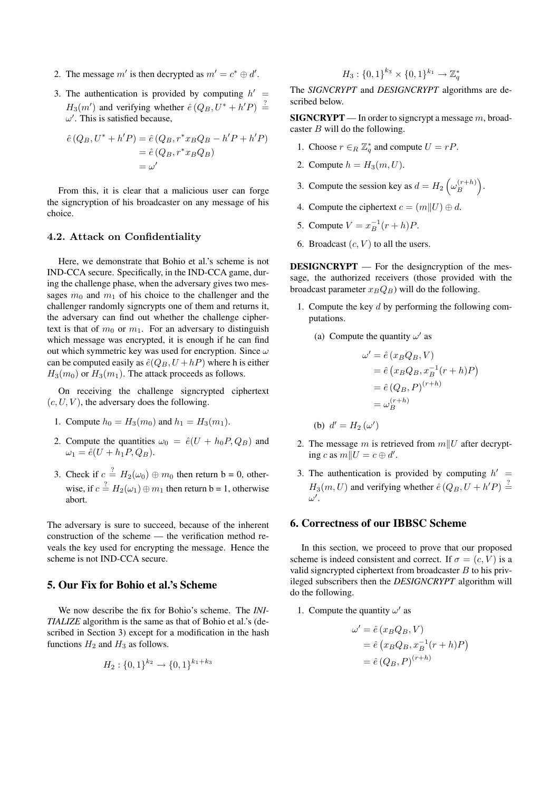- 2. The message m' is then decrypted as  $m' = c^* \oplus d'$ .
- 3. The authentication is provided by computing  $h' =$  $H_3(m')$  and verifying whether  $\hat{e}(Q_B, U^* + h'P) \stackrel{?}{=}$  $\omega'$ . This is satisfied because,

$$
\begin{aligned} \hat{e}(Q_B, U^* + h'P) &= \hat{e}(Q_B, r^*x_BQ_B - h'P + h'P) \\ &= \hat{e}(Q_B, r^*x_BQ_B) \\ &= \omega' \end{aligned}
$$

From this, it is clear that a malicious user can forge the signcryption of his broadcaster on any message of his choice.

#### 4.2. Attack on Confidentiality

Here, we demonstrate that Bohio et al.'s scheme is not IND-CCA secure. Specifically, in the IND-CCA game, during the challenge phase, when the adversary gives two messages  $m_0$  and  $m_1$  of his choice to the challenger and the challenger randomly signcrypts one of them and returns it, the adversary can find out whether the challenge ciphertext is that of  $m_0$  or  $m_1$ . For an adversary to distinguish which message was encrypted, it is enough if he can find out which symmetric key was used for encryption. Since  $\omega$ can be computed easily as  $\hat{e}(Q_B, U + hP)$  where h is either  $H_3(m_0)$  or  $H_3(m_1)$ . The attack proceeds as follows.

On receiving the challenge signcrypted ciphertext  $(c, U, V)$ , the adversary does the following.

- 1. Compute  $h_0 = H_3(m_0)$  and  $h_1 = H_3(m_1)$ .
- 2. Compute the quantities  $\omega_0 = \hat{e}(U + h_0 P, Q_B)$  and  $\omega_1 = \hat{e}(U + h_1 P, Q_B).$
- 3. Check if  $c \stackrel{?}{=} H_2(\omega_0) \oplus m_0$  then return b = 0, otherwise, if  $c = H_2(\omega_1) \oplus m_1$  then return b = 1, otherwise abort.

The adversary is sure to succeed, because of the inherent construction of the scheme — the verification method reveals the key used for encrypting the message. Hence the scheme is not IND-CCA secure.

## 5. Our Fix for Bohio et al.'s Scheme

We now describe the fix for Bohio's scheme. The *INI-TIALIZE* algorithm is the same as that of Bohio et al.'s (described in Section 3) except for a modification in the hash functions  $H_2$  and  $H_3$  as follows.

$$
H_2: \{0,1\}^{k_2} \to \{0,1\}^{k_1+k_3}
$$

$$
H_3: \{0,1\}^{k_3} \times \{0,1\}^{k_1} \to \mathbb{Z}_q^*
$$

The *SIGNCRYPT* and *DESIGNCRYPT* algorithms are described below.

 $SIGNCRYPT$  — In order to signcrypt a message m, broadcaster  $B$  will do the following.

 $\overline{a}$ 

´

- 1. Choose  $r \in_R \mathbb{Z}_q^*$  and compute  $U = rP$ .
- 2. Compute  $h = H_3(m, U)$ .
- 3. Compute the session key as  $d = H_2$  $\omega_{B}^{(r+h)}$ B .
- 4. Compute the ciphertext  $c = (m||U) \oplus d$ .
- 5. Compute  $V = x_B^{-1}(r + h)P$ .
- 6. Broadcast  $(c, V)$  to all the users.

 **— For the designcryption of the mes**sage, the authorized receivers (those provided with the broadcast parameter  $x_BQ_B$ ) will do the following.

- 1. Compute the key  $d$  by performing the following computations.
	- (a) Compute the quantity  $\omega'$  as

$$
\omega' = \hat{e}(x_B Q_B, V)
$$
  
=  $\hat{e}(x_B Q_B, x_B^{-1}(r+h)P)$   
=  $\hat{e}(Q_B, P)^{(r+h)}$   
=  $\omega_B^{(r+h)}$ 

$$
(b) d' = H_2(\omega')
$$

- 2. The message m is retrieved from  $m||U$  after decrypting c as  $m||U = c \oplus d'$ .
- 3. The authentication is provided by computing  $h' =$  $H_3(m, U)$  and verifying whether  $\hat{e}(Q_B, U + h'P) \stackrel{?}{=}$  $\omega'$ .

# 6. Correctness of our IBBSC Scheme

In this section, we proceed to prove that our proposed scheme is indeed consistent and correct. If  $\sigma = (c, V)$  is a valid signcrypted ciphertext from broadcaster  $B$  to his privileged subscribers then the *DESIGNCRYPT* algorithm will do the following.

1. Compute the quantity  $\omega'$  as

$$
\omega' = \hat{e}(x_B Q_B, V)
$$
  
=  $\hat{e}(x_B Q_B, x_B^{-1}(r+h)P)$   
=  $\hat{e}(Q_B, P)^{(r+h)}$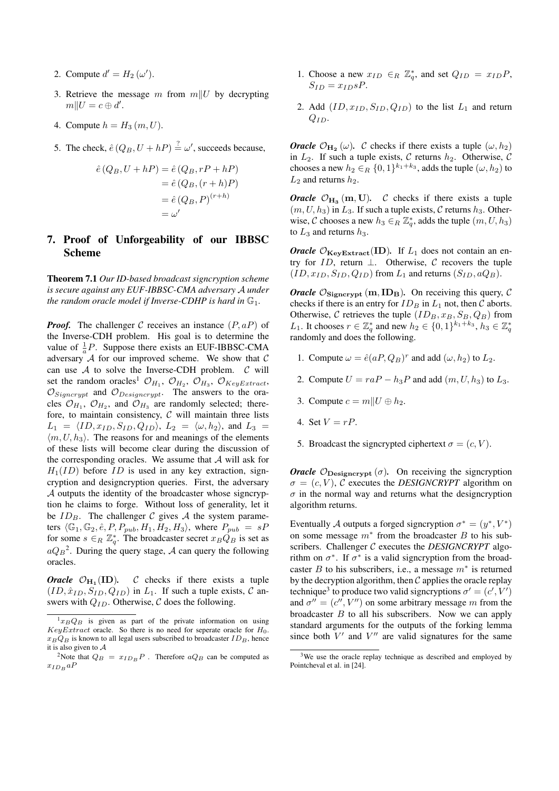- 2. Compute  $d' = H_2(\omega')$ .
- 3. Retrieve the message m from  $m||U$  by decrypting  $m||U = c \oplus d'.$
- 4. Compute  $h = H_3(m, U)$ .
- 5. The check,  $\hat{e}(Q_B, U + hP) \stackrel{?}{=} \omega'$ , succeeds because,

$$
\begin{aligned} \hat{e}(Q_B, U + hP) &= \hat{e}(Q_B, rP + hP) \\ &= \hat{e}(Q_B, (r + h)P) \\ &= \hat{e}(Q_B, P)^{(r + h)} \\ &= \omega' \end{aligned}
$$

# 7. Proof of Unforgeability of our IBBSC Scheme

Theorem 7.1 *Our ID-based broadcast signcryption scheme is secure against any EUF-IBBSC-CMA adversary* A *under the random oracle model if Inverse-CDHP is hard in*  $\mathbb{G}_1$ *.* 

*Proof.* The challenger C receives an instance  $(P, aP)$  of the Inverse-CDH problem. His goal is to determine the value of  $\frac{1}{a}P$ . Suppose there exists an EUF-IBBSC-CMA adversary  $A$  for our improved scheme. We show that  $C$ can use  $A$  to solve the Inverse-CDH problem.  $C$  will set the random oracles<sup>1</sup>  $\mathcal{O}_{H_1}$ ,  $\mathcal{O}_{H_2}$ ,  $\mathcal{O}_{H_3}$ ,  $\mathcal{O}_{KeyExtract}$ ,  $\mathcal{O}_{Signerypt}$  and  $\mathcal{O}_{Designcrypt}$ . The answers to the oracles  $\mathcal{O}_{H_1}$ ,  $\mathcal{O}_{H_2}$ , and  $\mathcal{O}_{H_3}$  are randomly selected; therefore, to maintain consistency,  $C$  will maintain three lists  $L_1 = \langle ID, x_{ID}, S_{ID}, Q_{ID} \rangle, L_2 = \langle \omega, h_2 \rangle$ , and  $L_3 =$  $\langle m, U, h_3 \rangle$ . The reasons for and meanings of the elements of these lists will become clear during the discussion of the corresponding oracles. We assume that  $A$  will ask for  $H_1(ID)$  before ID is used in any key extraction, signcryption and designcryption queries. First, the adversary A outputs the identity of the broadcaster whose signcryption he claims to forge. Without loss of generality, let it be  $ID_B$ . The challenger C gives A the system parameters  $\langle \mathbb{G}_1, \mathbb{G}_2, \hat{e}, P, P_{pub}, H_1, H_2, H_3 \rangle$ , where  $P_{pub} = sP$ for some  $s \in_R \mathbb{Z}_q^*$ . The broadcaster secret  $x_B Q_B$  is set as  $aQ_B^2$ . During the query stage, A can query the following oracles.

*Oracle*  $\mathcal{O}_{\mathbf{H}_1}(\mathbf{ID}).$  *C* checks if there exists a tuple  $(ID, \hat{x}_{ID}, S_{ID}, Q_{ID})$  in  $L_1$ . If such a tuple exists,  $C$  answers with  $Q_{ID}$ . Otherwise, C does the following.

- 1. Choose a new  $x_{ID} \in_R \mathbb{Z}_q^*$ , and set  $Q_{ID} = x_{ID}P$ ,  $S_{ID} = x_{ID} sP$ .
- 2. Add  $(ID, x_{ID}, S_{ID}, Q_{ID})$  to the list  $L_1$  and return  $Q_{ID}$ .

*Oracle*  $\mathcal{O}_{\mathbf{H}_2}(\omega)$ . *C* checks if there exists a tuple  $(\omega, h_2)$ in  $L_2$ . If such a tuple exists,  $C$  returns  $h_2$ . Otherwise,  $C$ chooses a new  $h_2 \in_R \{0,1\}^{k_1+k_3}$ , adds the tuple  $(\omega, h_2)$  to  $L_2$  and returns  $h_2$ .

*Oracle*  $\mathcal{O}_{\mathbf{H}_3}(\mathbf{m}, \mathbf{U})$ . *C* checks if there exists a tuple  $(m, U, h_3)$  in  $L_3$ . If such a tuple exists, C returns  $h_3$ . Otherwise, C chooses a new  $h_3 \in_R \mathbb{Z}_q^*$ , adds the tuple  $(m, U, h_3)$ to  $L_3$  and returns  $h_3$ .

*Oracle*  $\mathcal{O}_{\mathbf{KeyExtract}}(\mathbf{ID})$ *.* If  $L_1$  does not contain an entry for  $ID$ , return  $\perp$ . Otherwise,  $C$  recovers the tuple  $(ID, x_{ID}, S_{ID}, Q_{ID})$  from  $L_1$  and returns  $(S_{ID}, aQ_B)$ .

*Oracle*  $\mathcal{O}_{Siencrvpt}$  (m, ID<sub>B</sub>). On receiving this query, C checks if there is an entry for  $ID_B$  in  $L_1$  not, then  $C$  aborts. Otherwise,  $C$  retrieves the tuple  $(ID_B, x_B, S_B, Q_B)$  from L<sub>1</sub>. It chooses  $r \in \mathbb{Z}_q^*$  and new  $h_2 \in \{0,1\}^{k_1+k_3}, h_3 \in \mathbb{Z}_q^*$ randomly and does the following.

- 1. Compute  $\omega = \hat{e}(aP, Q_B)^r$  and add  $(\omega, h_2)$  to  $L_2$ .
- 2. Compute  $U = raP h_3P$  and add  $(m, U, h_3)$  to  $L_3$ .
- 3. Compute  $c = m||U \oplus h_2$ .
- 4. Set  $V = rP$ .
- 5. Broadcast the signcrypted ciphertext  $\sigma = (c, V)$ .

*Oracle*  $\mathcal{O}_{\mathrm{Designcrypt}}(\sigma)$ . On receiving the signcryption  $\sigma = (c, V)$ , C executes the *DESIGNCRYPT* algorithm on  $\sigma$  in the normal way and returns what the designcryption algorithm returns.

Eventually A outputs a forged signcryption  $\sigma^* = (y^*, V^*)$ on some message  $m^*$  from the broadcaster  $B$  to his subscribers. Challenger C executes the *DESIGNCRYPT* algorithm on  $\sigma^*$ . If  $\sigma^*$  is a valid signcryption from the broadcaster B to his subscribers, i.e., a message  $m^*$  is returned by the decryption algorithm, then  $C$  applies the oracle replay technique<sup>3</sup> to produce two valid signcryptions  $\sigma' = (c', V')$ and  $\sigma'' = (c'', V'')$  on some arbitrary message m from the broadcaster  $B$  to all his subscribers. Now we can apply standard arguments for the outputs of the forking lemma since both  $V'$  and  $V''$  are valid signatures for the same

 $1x_BQ_B$  is given as part of the private information on using  $KeyExtract$  oracle. So there is no need for seperate oracle for  $H_0$ .  $x_BQ_B$  is known to all legal users subscribed to broadcaster  $ID_B$ , hence it is also given to A

<sup>&</sup>lt;sup>2</sup>Note that  $Q_B = x_{ID_B}P$ . Therefore  $aQ_B$  can be computed as  $x_{ID_B} aP$ 

<sup>&</sup>lt;sup>3</sup>We use the oracle replay technique as described and employed by Pointcheval et al. in [24].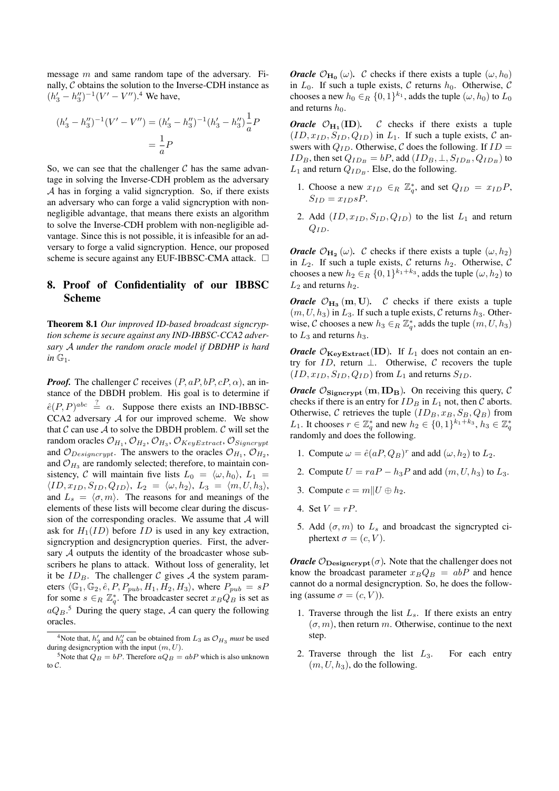message  $m$  and same random tape of the adversary. Finally,  $C$  obtains the solution to the Inverse-CDH instance as  $(h'_3 - h''_3)^{-1}(V' - V'')$ .<sup>4</sup> We have,

$$
(h'_3 - h''_3)^{-1}(V' - V'') = (h'_3 - h''_3)^{-1}(h'_3 - h''_3)\frac{1}{a}P
$$
  
=  $\frac{1}{a}P$ 

So, we can see that the challenger  $C$  has the same advantage in solving the Inverse-CDH problem as the adversary A has in forging a valid signcryption. So, if there exists an adversary who can forge a valid signcryption with nonnegligible advantage, that means there exists an algorithm to solve the Inverse-CDH problem with non-negligible advantage. Since this is not possible, it is infeasible for an adversary to forge a valid signcryption. Hence, our proposed scheme is secure against any EUF-IBBSC-CMA attack.  $\square$ 

# 8. Proof of Confidentiality of our IBBSC Scheme

Theorem 8.1 *Our improved ID-based broadcast signcryption scheme is secure against any IND-IBBSC-CCA2 adversary* A *under the random oracle model if DBDHP is hard*  $in \mathbb{G}_1$ .

*Proof.* The challenger C receives  $(P, aP, bP, cP, \alpha)$ , an instance of the DBDH problem. His goal is to determine if  $\hat{e}(P, P)^{abc} \stackrel{?}{=} \alpha$ . Suppose there exists an IND-IBBSC-CCA2 adversary  $A$  for our improved scheme. We show that  $\mathcal C$  can use  $\mathcal A$  to solve the DBDH problem.  $\mathcal C$  will set the random oracles  $\mathcal{O}_{H_1}, \mathcal{O}_{H_2}, \mathcal{O}_{H_3}, \mathcal{O}_{KeyExtract}, \mathcal{O}_{Signerypt}$ and  $\mathcal{O}_{Designcrypt}$ . The answers to the oracles  $\mathcal{O}_{H_1}, \mathcal{O}_{H_2},$ and  $\mathcal{O}_{H_3}$  are randomly selected; therefore, to maintain consistency, C will maintain five lists  $L_0 = \langle \omega, h_0 \rangle$ ,  $L_1 =$  $\langle ID, x_{ID}, S_{ID}, Q_{ID} \rangle, L_2 = \langle \omega, h_2 \rangle, L_3 = \langle m, U, h_3 \rangle,$ and  $L_s = \langle \sigma, m \rangle$ . The reasons for and meanings of the elements of these lists will become clear during the discussion of the corresponding oracles. We assume that  $A$  will ask for  $H_1(ID)$  before  $ID$  is used in any key extraction, signcryption and designcryption queries. First, the adversary A outputs the identity of the broadcaster whose subscribers he plans to attack. Without loss of generality, let it be  $ID_B$ . The challenger C gives A the system parameters  $\langle \mathbb{G}_1, \mathbb{G}_2, \hat{e}, P, P_{pub}, H_1, H_2, H_3 \rangle$ , where  $P_{pub} = sP$ for some  $s \in_R \mathbb{Z}_q^*$ . The broadcaster secret  $x_B Q_B$  is set as  $aQ_B$ <sup>5</sup> During the query stage, A can query the following oracles.

*Oracle*  $\mathcal{O}_{\mathbf{H_0}}(\omega)$ . *C* checks if there exists a tuple  $(\omega, h_0)$ in  $L_0$ . If such a tuple exists, C returns  $h_0$ . Otherwise, C chooses a new  $h_0 \in_R \{0,1\}^{k_1}$ , adds the tuple  $(\omega, h_0)$  to  $L_0$ and returns  $h_0$ .

*Oracle*  $\mathcal{O}_{\mathbf{H}_1}(\mathbf{ID}).$  *C* checks if there exists a tuple  $(ID, x_{ID}, S_{ID}, Q_{ID})$  in  $L_1$ . If such a tuple exists,  $C$  answers with  $Q_{ID}$ . Otherwise, C does the following. If  $ID =$  $ID_B$ , then set  $Q_{ID_B} = bP$ , add  $(ID_B, \perp, S_{ID_B}, Q_{ID_B})$  to  $L_1$  and return  $Q_{ID_B}$ . Else, do the following.

- 1. Choose a new  $x_{ID} \in_R \mathbb{Z}_q^*$ , and set  $Q_{ID} = x_{ID}P$ ,  $S_{ID} = x_{ID} sP.$
- 2. Add  $(ID, x_{ID}, S_{ID}, Q_{ID})$  to the list  $L_1$  and return  $Q_{ID}$ .

*Oracle*  $\mathcal{O}_{\mathbf{H}_2}(\omega)$ . *C* checks if there exists a tuple  $(\omega, h_2)$ in  $L_2$ . If such a tuple exists, C returns  $h_2$ . Otherwise, C chooses a new  $h_2 \in_R \{0,1\}^{k_1+k_3}$ , adds the tuple  $(\omega, h_2)$  to  $L_2$  and returns  $h_2$ .

*Oracle*  $\mathcal{O}_{H_3}$  (m, U). C checks if there exists a tuple  $(m, U, h_3)$  in  $L_3$ . If such a tuple exists, C returns  $h_3$ . Otherwise, C chooses a new  $h_3 \in_R \mathbb{Z}_q^*$ , adds the tuple  $(m, U, h_3)$ to  $L_3$  and returns  $h_3$ .

*Oracle*  $\mathcal{O}_{\mathbf{KeyExtract}}(\mathbf{ID})$ *.* If  $L_1$  does not contain an entry for  $ID$ , return  $\bot$ . Otherwise,  $C$  recovers the tuple  $(ID, x_{ID}, S_{ID}, Q_{ID})$  from  $L_1$  and returns  $S_{ID}$ .

*Oracle*  $\mathcal{O}_{Signcrypt}(m, ID_B)$ . On receiving this query, C checks if there is an entry for  $ID_B$  in  $L_1$  not, then C aborts. Otherwise, C retrieves the tuple  $(ID_B, x_B, S_B, Q_B)$  from L<sub>1</sub>. It chooses  $r \in \mathbb{Z}_q^*$  and new  $h_2 \in \{0,1\}^{k_1+k_3}, h_3 \in \mathbb{Z}_q^*$ randomly and does the following.

- 1. Compute  $\omega = \hat{e}(aP, Q_B)^r$  and add  $(\omega, h_2)$  to  $L_2$ .
- 2. Compute  $U = raP h_3P$  and add  $(m, U, h_3)$  to  $L_3$ .
- 3. Compute  $c = m||U \oplus h_2$ .
- 4. Set  $V = rP$ .
- 5. Add  $(\sigma, m)$  to  $L_s$  and broadcast the signcrypted ciphertext  $\sigma = (c, V)$ .

*Oracle*  $\mathcal{O}_{\mathrm{Designcrypt}}(\sigma)$ . Note that the challenger does not know the broadcast parameter  $x_BQ_B = abP$  and hence cannot do a normal designcryption. So, he does the following (assume  $\sigma = (c, V)$ ).

- 1. Traverse through the list  $L<sub>s</sub>$ . If there exists an entry  $(\sigma, m)$ , then return m. Otherwise, continue to the next step.
- 2. Traverse through the list  $L_3$ . For each entry  $(m, U, h_3)$ , do the following.

<sup>&</sup>lt;sup>4</sup>Note that,  $h'_3$  and  $h''_3$  can be obtained from  $L_3$  as  $\mathcal{O}_{H_3}$  *must* be used during designcryption with the input  $(m, U)$ .

<sup>&</sup>lt;sup>5</sup>Note that  $Q_B = bP$ . Therefore  $aQ_B = abP$  which is also unknown to C.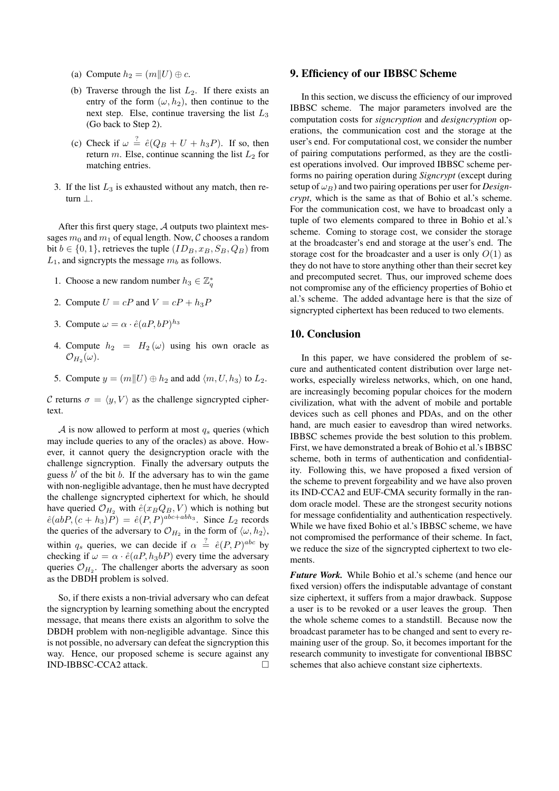- (a) Compute  $h_2 = (m||U) \oplus c$ .
- (b) Traverse through the list  $L_2$ . If there exists an entry of the form  $(\omega, h_2)$ , then continue to the next step. Else, continue traversing the list  $L_3$ (Go back to Step 2).
- (c) Check if  $\omega = \hat{e}(Q_B + U + h_3 P)$ . If so, then return m. Else, continue scanning the list  $L_2$  for matching entries.
- 3. If the list  $L_3$  is exhausted without any match, then return ⊥.

After this first query stage, A outputs two plaintext messages  $m_0$  and  $m_1$  of equal length. Now, C chooses a random bit  $b \in \{0, 1\}$ , retrieves the tuple  $(ID_B, x_B, S_B, Q_B)$  from  $L_1$ , and signcrypts the message  $m_b$  as follows.

- 1. Choose a new random number  $h_3 \in \mathbb{Z}_q^*$
- 2. Compute  $U = cP$  and  $V = cP + h_3P$
- 3. Compute  $\omega = \alpha \cdot \hat{e}(aP, bP)^{h_3}$
- 4. Compute  $h_2 = H_2(\omega)$  using his own oracle as  $\mathcal{O}_{H_2}(\omega).$
- 5. Compute  $y = (m||U) \oplus h_2$  and add  $\langle m, U, h_3 \rangle$  to  $L_2$ .

C returns  $\sigma = \langle y, V \rangle$  as the challenge signcrypted ciphertext.

 $\mathcal A$  is now allowed to perform at most  $q_s$  queries (which may include queries to any of the oracles) as above. However, it cannot query the designcryption oracle with the challenge signcryption. Finally the adversary outputs the guess  $b'$  of the bit  $b$ . If the adversary has to win the game with non-negligible advantage, then he must have decrypted the challenge signcrypted ciphertext for which, he should have queried  $\mathcal{O}_{H_2}$  with  $\hat{e}(x_BQ_B, V)$  which is nothing but  $\hat{e}(abP, (c+h_3)P) = \hat{e}(P, P)^{abc + abh_3}$ . Since  $L_2$  records the queries of the adversary to  $\mathcal{O}_{H_2}$  in the form of  $\langle \omega, h_2 \rangle$ , within  $q_s$  queries, we can decide if  $\alpha \stackrel{?}{=} \hat{e}(P,P)^{abc}$  by checking if  $\omega = \alpha \cdot \hat{e}(aP, h_3bP)$  every time the adversary queries  $\mathcal{O}_{H_2}$ . The challenger aborts the adversary as soon as the DBDH problem is solved.

So, if there exists a non-trivial adversary who can defeat the signcryption by learning something about the encrypted message, that means there exists an algorithm to solve the DBDH problem with non-negligible advantage. Since this is not possible, no adversary can defeat the signcryption this way. Hence, our proposed scheme is secure against any IND-IBBSC-CCA2 attack. ¤

#### 9. Efficiency of our IBBSC Scheme

In this section, we discuss the efficiency of our improved IBBSC scheme. The major parameters involved are the computation costs for *signcryption* and *designcryption* operations, the communication cost and the storage at the user's end. For computational cost, we consider the number of pairing computations performed, as they are the costliest operations involved. Our improved IBBSC scheme performs no pairing operation during *Signcrypt* (except during setup of  $\omega_B$ ) and two pairing operations per user for *Designcrypt*, which is the same as that of Bohio et al.'s scheme. For the communication cost, we have to broadcast only a tuple of two elements compared to three in Bohio et al.'s scheme. Coming to storage cost, we consider the storage at the broadcaster's end and storage at the user's end. The storage cost for the broadcaster and a user is only  $O(1)$  as they do not have to store anything other than their secret key and precomputed secret. Thus, our improved scheme does not compromise any of the efficiency properties of Bohio et al.'s scheme. The added advantage here is that the size of signcrypted ciphertext has been reduced to two elements.

### 10. Conclusion

In this paper, we have considered the problem of secure and authenticated content distribution over large networks, especially wireless networks, which, on one hand, are increasingly becoming popular choices for the modern civilization, what with the advent of mobile and portable devices such as cell phones and PDAs, and on the other hand, are much easier to eavesdrop than wired networks. IBBSC schemes provide the best solution to this problem. First, we have demonstrated a break of Bohio et al.'s IBBSC scheme, both in terms of authentication and confidentiality. Following this, we have proposed a fixed version of the scheme to prevent forgeability and we have also proven its IND-CCA2 and EUF-CMA security formally in the random oracle model. These are the strongest security notions for message confidentiality and authentication respectively. While we have fixed Bohio et al.'s IBBSC scheme, we have not compromised the performance of their scheme. In fact, we reduce the size of the signcrypted ciphertext to two elements.

*Future Work.* While Bohio et al.'s scheme (and hence our fixed version) offers the indisputable advantage of constant size ciphertext, it suffers from a major drawback. Suppose a user is to be revoked or a user leaves the group. Then the whole scheme comes to a standstill. Because now the broadcast parameter has to be changed and sent to every remaining user of the group. So, it becomes important for the research community to investigate for conventional IBBSC schemes that also achieve constant size ciphertexts.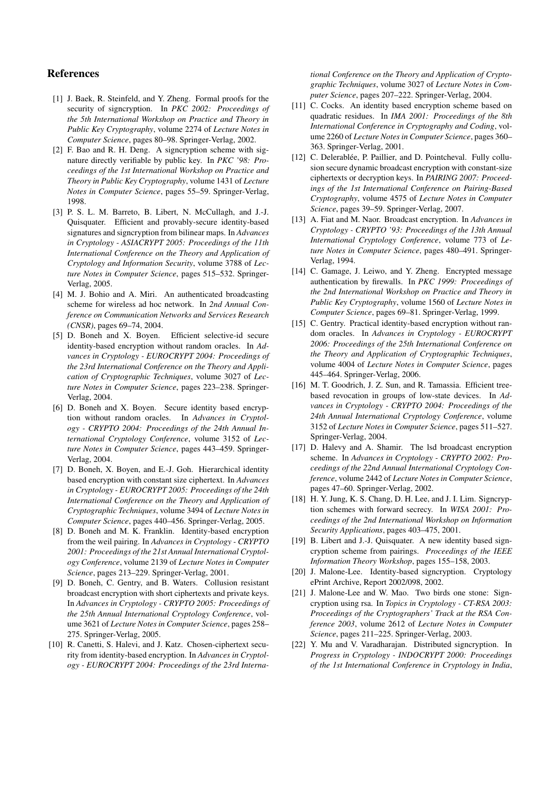### References

- [1] J. Baek, R. Steinfeld, and Y. Zheng. Formal proofs for the security of signcryption. In *PKC 2002: Proceedings of the 5th International Workshop on Practice and Theory in Public Key Cryptography*, volume 2274 of *Lecture Notes in Computer Science*, pages 80–98. Springer-Verlag, 2002.
- [2] F. Bao and R. H. Deng. A signcryption scheme with signature directly verifiable by public key. In *PKC '98: Proceedings of the 1st International Workshop on Practice and Theory in Public Key Cryptography*, volume 1431 of *Lecture Notes in Computer Science*, pages 55–59. Springer-Verlag, 1998.
- [3] P. S. L. M. Barreto, B. Libert, N. McCullagh, and J.-J. Quisquater. Efficient and provably-secure identity-based signatures and signcryption from bilinear maps. In *Advances in Cryptology - ASIACRYPT 2005: Proceedings of the 11th International Conference on the Theory and Application of Cryptology and Information Security*, volume 3788 of *Lecture Notes in Computer Science*, pages 515–532. Springer-Verlag, 2005.
- [4] M. J. Bohio and A. Miri. An authenticated broadcasting scheme for wireless ad hoc network. In *2nd Annual Conference on Communication Networks and Services Research (CNSR)*, pages 69–74, 2004.
- [5] D. Boneh and X. Boyen. Efficient selective-id secure identity-based encryption without random oracles. In *Advances in Cryptology - EUROCRYPT 2004: Proceedings of the 23rd International Conference on the Theory and Application of Cryptographic Techniques*, volume 3027 of *Lecture Notes in Computer Science*, pages 223–238. Springer-Verlag, 2004.
- [6] D. Boneh and X. Boyen. Secure identity based encryption without random oracles. In *Advances in Cryptology - CRYPTO 2004: Proceedings of the 24th Annual International Cryptology Conference*, volume 3152 of *Lecture Notes in Computer Science*, pages 443–459. Springer-Verlag, 2004.
- [7] D. Boneh, X. Boyen, and E.-J. Goh. Hierarchical identity based encryption with constant size ciphertext. In *Advances in Cryptology - EUROCRYPT 2005: Proceedings of the 24th International Conference on the Theory and Application of Cryptographic Techniques*, volume 3494 of *Lecture Notes in Computer Science*, pages 440–456. Springer-Verlag, 2005.
- [8] D. Boneh and M. K. Franklin. Identity-based encryption from the weil pairing. In *Advances in Cryptology - CRYPTO 2001: Proceedings of the 21st Annual International Cryptology Conference*, volume 2139 of *Lecture Notes in Computer Science*, pages 213–229. Springer-Verlag, 2001.
- [9] D. Boneh, C. Gentry, and B. Waters. Collusion resistant broadcast encryption with short ciphertexts and private keys. In *Advances in Cryptology - CRYPTO 2005: Proceedings of the 25th Annual International Cryptology Conference*, volume 3621 of *Lecture Notes in Computer Science*, pages 258– 275. Springer-Verlag, 2005.
- [10] R. Canetti, S. Halevi, and J. Katz. Chosen-ciphertext security from identity-based encryption. In *Advances in Cryptology - EUROCRYPT 2004: Proceedings of the 23rd Interna-*

*tional Conference on the Theory and Application of Cryptographic Techniques*, volume 3027 of *Lecture Notes in Computer Science*, pages 207–222. Springer-Verlag, 2004.

- [11] C. Cocks. An identity based encryption scheme based on quadratic residues. In *IMA 2001: Proceedings of the 8th International Conference in Cryptography and Coding*, volume 2260 of *Lecture Notes in Computer Science*, pages 360– 363. Springer-Verlag, 2001.
- [12] C. Delerablée, P. Paillier, and D. Pointcheval. Fully collusion secure dynamic broadcast encryption with constant-size ciphertexts or decryption keys. In *PAIRING 2007: Proceedings of the 1st International Conference on Pairing-Based Cryptography*, volume 4575 of *Lecture Notes in Computer Science*, pages 39–59. Springer-Verlag, 2007.
- [13] A. Fiat and M. Naor. Broadcast encryption. In *Advances in Cryptology - CRYPTO '93: Proceedings of the 13th Annual International Cryptology Conference*, volume 773 of *Leture Notes in Computer Science*, pages 480–491. Springer-Verlag, 1994.
- [14] C. Gamage, J. Leiwo, and Y. Zheng. Encrypted message authentication by firewalls. In *PKC 1999: Proceedings of the 2nd International Workshop on Practice and Theory in Public Key Cryptography*, volume 1560 of *Lecture Notes in Computer Science*, pages 69–81. Springer-Verlag, 1999.
- [15] C. Gentry. Practical identity-based encryption without random oracles. In *Advances in Cryptology - EUROCRYPT 2006: Proceedings of the 25th International Conference on the Theory and Application of Cryptographic Techniques*, volume 4004 of *Lecture Notes in Computer Science*, pages 445–464. Springer-Verlag, 2006.
- [16] M. T. Goodrich, J. Z. Sun, and R. Tamassia. Efficient treebased revocation in groups of low-state devices. In *Advances in Cryptology - CRYPTO 2004: Proceedings of the 24th Annual International Cryptology Conference*, volume 3152 of *Lecture Notes in Computer Science*, pages 511–527. Springer-Verlag, 2004.
- [17] D. Halevy and A. Shamir. The lsd broadcast encryption scheme. In *Advances in Cryptology - CRYPTO 2002: Proceedings of the 22nd Annual International Cryptology Conference*, volume 2442 of *Lecture Notes in Computer Science*, pages 47–60. Springer-Verlag, 2002.
- [18] H. Y. Jung, K. S. Chang, D. H. Lee, and J. I. Lim. Signcryption schemes with forward secrecy. In *WISA 2001: Proceedings of the 2nd International Workshop on Information Security Applications*, pages 403–475, 2001.
- [19] B. Libert and J.-J. Quisquater. A new identity based signcryption scheme from pairings. *Proceedings of the IEEE Information Theory Workshop*, pages 155–158, 2003.
- [20] J. Malone-Lee. Identity-based signcryption. Cryptology ePrint Archive, Report 2002/098, 2002.
- [21] J. Malone-Lee and W. Mao. Two birds one stone: Signcryption using rsa. In *Topics in Cryptology - CT-RSA 2003: Proceedings of the Cryptographers' Track at the RSA Conference 2003*, volume 2612 of *Lecture Notes in Computer Science*, pages 211–225. Springer-Verlag, 2003.
- [22] Y. Mu and V. Varadharajan. Distributed signcryption. In *Progress in Cryptology - INDOCRYPT 2000: Proceedings of the 1st International Conference in Cryptology in India*,